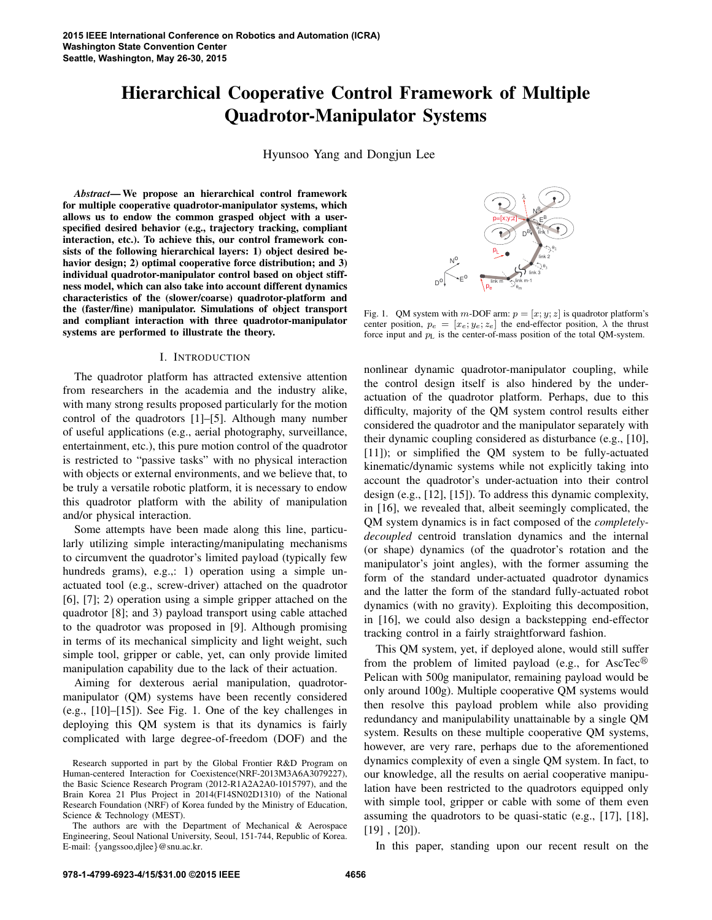# Hierarchical Cooperative Control Framework of Multiple Quadrotor-Manipulator Systems

Hyunsoo Yang and Dongjun Lee

*Abstract*— We propose an hierarchical control framework for multiple cooperative quadrotor-manipulator systems, which allows us to endow the common grasped object with a userspecified desired behavior (e.g., trajectory tracking, compliant interaction, etc.). To achieve this, our control framework consists of the following hierarchical layers: 1) object desired behavior design; 2) optimal cooperative force distribution; and 3) individual quadrotor-manipulator control based on object stiffness model, which can also take into account different dynamics characteristics of the (slower/coarse) quadrotor-platform and the (faster/fine) manipulator. Simulations of object transport and compliant interaction with three quadrotor-manipulator systems are performed to illustrate the theory.

## I. INTRODUCTION

The quadrotor platform has attracted extensive attention from researchers in the academia and the industry alike, with many strong results proposed particularly for the motion control of the quadrotors [1]–[5]. Although many number of useful applications (e.g., aerial photography, surveillance, entertainment, etc.), this pure motion control of the quadrotor is restricted to "passive tasks" with no physical interaction with objects or external environments, and we believe that, to be truly a versatile robotic platform, it is necessary to endow this quadrotor platform with the ability of manipulation and/or physical interaction.

Some attempts have been made along this line, particularly utilizing simple interacting/manipulating mechanisms to circumvent the quadrotor's limited payload (typically few hundreds grams), e.g.,: 1) operation using a simple unactuated tool (e.g., screw-driver) attached on the quadrotor [6], [7]; 2) operation using a simple gripper attached on the quadrotor [8]; and 3) payload transport using cable attached to the quadrotor was proposed in [9]. Although promising in terms of its mechanical simplicity and light weight, such simple tool, gripper or cable, yet, can only provide limited manipulation capability due to the lack of their actuation.

Aiming for dexterous aerial manipulation, quadrotormanipulator (QM) systems have been recently considered (e.g., [10]–[15]). See Fig. 1. One of the key challenges in deploying this QM system is that its dynamics is fairly complicated with large degree-of-freedom (DOF) and the



Fig. 1. QM system with m-DOF arm:  $p = [x, y, z]$  is quadrotor platform's center position,  $p_e = [x_e; y_e; z_e]$  the end-effector position,  $\lambda$  the thrust force input and  $p<sub>L</sub>$  is the center-of-mass position of the total QM-system.

nonlinear dynamic quadrotor-manipulator coupling, while the control design itself is also hindered by the underactuation of the quadrotor platform. Perhaps, due to this difficulty, majority of the QM system control results either considered the quadrotor and the manipulator separately with their dynamic coupling considered as disturbance (e.g., [10], [11]); or simplified the QM system to be fully-actuated kinematic/dynamic systems while not explicitly taking into account the quadrotor's under-actuation into their control design (e.g., [12], [15]). To address this dynamic complexity, in [16], we revealed that, albeit seemingly complicated, the QM system dynamics is in fact composed of the *completelydecoupled* centroid translation dynamics and the internal (or shape) dynamics (of the quadrotor's rotation and the manipulator's joint angles), with the former assuming the form of the standard under-actuated quadrotor dynamics and the latter the form of the standard fully-actuated robot dynamics (with no gravity). Exploiting this decomposition, in [16], we could also design a backstepping end-effector tracking control in a fairly straightforward fashion.

This QM system, yet, if deployed alone, would still suffer from the problem of limited payload (e.g., for AscTec<sup>®</sup> Pelican with 500g manipulator, remaining payload would be only around 100g). Multiple cooperative QM systems would then resolve this payload problem while also providing redundancy and manipulability unattainable by a single QM system. Results on these multiple cooperative QM systems, however, are very rare, perhaps due to the aforementioned dynamics complexity of even a single QM system. In fact, to our knowledge, all the results on aerial cooperative manipulation have been restricted to the quadrotors equipped only with simple tool, gripper or cable with some of them even assuming the quadrotors to be quasi-static (e.g., [17], [18], [19] , [20]).

In this paper, standing upon our recent result on the

Research supported in part by the Global Frontier R&D Program on Human-centered Interaction for Coexistence(NRF-2013M3A6A3079227), the Basic Science Research Program (2012-R1A2A2A0-1015797), and the Brain Korea 21 Plus Project in 2014(F14SN02D1310) of the National Research Foundation (NRF) of Korea funded by the Ministry of Education, Science & Technology (MEST).

The authors are with the Department of Mechanical & Aerospace Engineering, Seoul National University, Seoul, 151-744, Republic of Korea. E-mail: {yangssoo,djlee}@snu.ac.kr.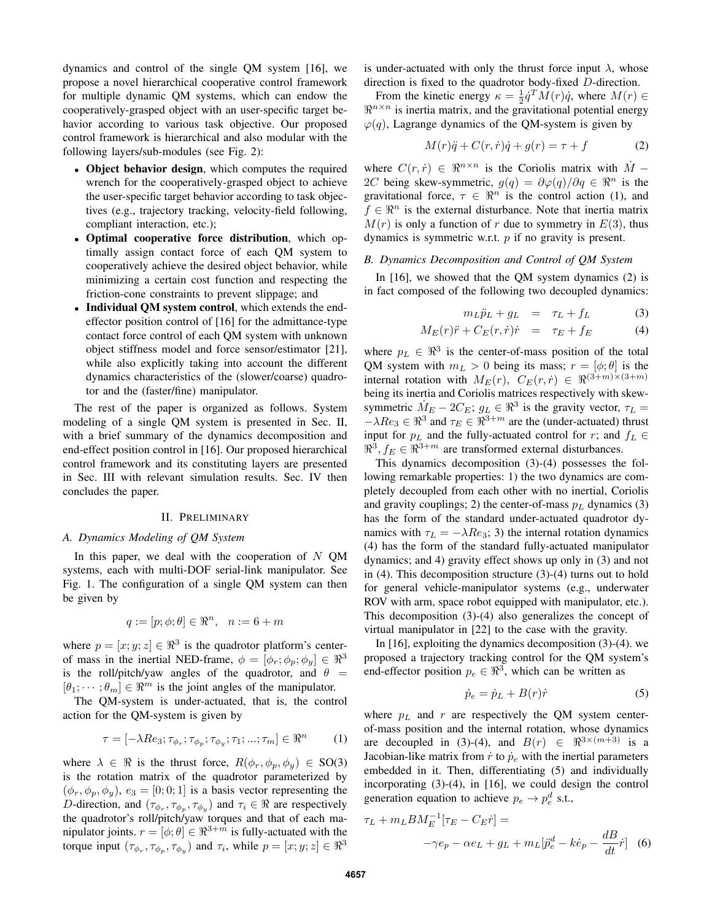dynamics and control of the single QM system [16], we propose a novel hierarchical cooperative control framework for multiple dynamic QM systems, which can endow the cooperatively-grasped object with an user-specific target behavior according to various task objective. Our proposed control framework is hierarchical and also modular with the following layers/sub-modules (see Fig. 2):

- Object behavior design, which computes the required wrench for the cooperatively-grasped object to achieve the user-specific target behavior according to task objectives (e.g., trajectory tracking, velocity-field following, compliant interaction, etc.);
- Optimal cooperative force distribution, which optimally assign contact force of each QM system to cooperatively achieve the desired object behavior, while minimizing a certain cost function and respecting the friction-cone constraints to prevent slippage; and
- Individual QM system control, which extends the endeffector position control of [16] for the admittance-type contact force control of each QM system with unknown object stiffness model and force sensor/estimator [21], while also explicitly taking into account the different dynamics characteristics of the (slower/coarse) quadrotor and the (faster/fine) manipulator.

The rest of the paper is organized as follows. System modeling of a single QM system is presented in Sec. II, with a brief summary of the dynamics decomposition and end-effect position control in [16]. Our proposed hierarchical control framework and its constituting layers are presented in Sec. III with relevant simulation results. Sec. IV then concludes the paper.

## II. PRELIMINARY

## *A. Dynamics Modeling of QM System*

In this paper, we deal with the cooperation of  $N$  QM systems, each with multi-DOF serial-link manipulator. See Fig. 1. The configuration of a single QM system can then be given by

$$
q := [p; \phi; \theta] \in \Re^n, \quad n := 6 + m
$$

where  $p = [x, y, z] \in \mathbb{R}^3$  is the quadrotor platform's centerof mass in the inertial NED-frame,  $\phi = [\phi_r; \phi_p; \phi_y] \in \mathbb{R}^3$ is the roll/pitch/yaw angles of the quadrotor, and  $\theta =$  $[\theta_1; \dots; \theta_m] \in \mathbb{R}^m$  is the joint angles of the manipulator.

The QM-system is under-actuated, that is, the control action for the QM-system is given by

$$
\tau = [-\lambda Re_3; \tau_{\phi_r}; \tau_{\phi_p}; \tau_{\phi_y}; \tau_1; \ldots; \tau_m] \in \mathbb{R}^n \tag{1}
$$

where  $\lambda \in \Re$  is the thrust force,  $R(\phi_r, \phi_p, \phi_y) \in SO(3)$ is the rotation matrix of the quadrotor parameterized by  $(\phi_r, \phi_p, \phi_y), e_3 = [0, 0, 1]$  is a basis vector representing the D-direction, and  $(\tau_{\phi_r}, \tau_{\phi_p}, \tau_{\phi_y})$  and  $\tau_i \in \Re$  are respectively the quadrotor's roll/pitch/yaw torques and that of each manipulator joints.  $r = [\phi; \theta] \in \mathbb{R}^{3+m}$  is fully-actuated with the torque input  $(\tau_{\phi_r}, \tau_{\phi_p}, \tau_{\phi_y})$  and  $\tau_i$ , while  $p = [x, y, z] \in \mathbb{R}^3$ 

is under-actuated with only the thrust force input  $\lambda$ , whose direction is fixed to the quadrotor body-fixed D-direction.

From the kinetic energy  $\kappa = \frac{1}{2} \dot{q}^T M(r) \dot{q}$ , where  $M(r) \in$  $\Re^{n \times n}$  is inertia matrix, and the gravitational potential energy  $\varphi(q)$ , Lagrange dynamics of the QM-system is given by

$$
M(r)\ddot{q} + C(r,\dot{r})\dot{q} + g(r) = \tau + f \tag{2}
$$

where  $C(r, \dot{r}) \in \Re^{n \times n}$  is the Coriolis matrix with  $\dot{M}$  – 2C being skew-symmetric,  $g(q) = \partial \varphi(q)/\partial q \in \Re^n$  is the gravitational force,  $\tau \in \mathbb{R}^n$  is the control action (1), and  $f \in \mathbb{R}^n$  is the external disturbance. Note that inertia matrix  $M(r)$  is only a function of r due to symmetry in  $E(3)$ , thus dynamics is symmetric w.r.t. p if no gravity is present.

#### *B. Dynamics Decomposition and Control of QM System*

In [16], we showed that the OM system dynamics (2) is in fact composed of the following two decoupled dynamics:

$$
m_L \ddot{p}_L + g_L = \tau_L + f_L \tag{3}
$$

$$
M_E(r)\ddot{r} + C_E(r,\dot{r})\dot{r} = \tau_E + f_E \tag{4}
$$

where  $p_L \in \mathbb{R}^3$  is the center-of-mass position of the total QM system with  $m_L > 0$  being its mass;  $r = [\phi; \theta]$  is the internal rotation with  $M_E(r)$ ,  $C_E(r, r) \in \Re^{(3+m)\times(3+m)}$ being its inertia and Coriolis matrices respectively with skewsymmetric  $\dot{M}_E - 2C_E$ ;  $g_L \in \mathbb{R}^3$  is the gravity vector,  $\tau_L =$  $-\lambda Re_3 \in \Re^3$  and  $\tau_E \in \Re^{3+m}$  are the (under-actuated) thrust input for  $p<sub>L</sub>$  and the fully-actuated control for r; and  $f<sub>L</sub>$  ∈  $\mathbb{R}^3$ ,  $f_E \in \mathbb{R}^{3+m}$  are transformed external disturbances.

This dynamics decomposition (3)-(4) possesses the following remarkable properties: 1) the two dynamics are completely decoupled from each other with no inertial, Coriolis and gravity couplings; 2) the center-of-mass  $p<sub>L</sub>$  dynamics (3) has the form of the standard under-actuated quadrotor dynamics with  $\tau_L = -\lambda Re_3$ ; 3) the internal rotation dynamics (4) has the form of the standard fully-actuated manipulator dynamics; and 4) gravity effect shows up only in (3) and not in (4). This decomposition structure (3)-(4) turns out to hold for general vehicle-manipulator systems (e.g., underwater ROV with arm, space robot equipped with manipulator, etc.). This decomposition (3)-(4) also generalizes the concept of virtual manipulator in [22] to the case with the gravity.

In [16], exploiting the dynamics decomposition (3)-(4). we proposed a trajectory tracking control for the QM system's end-effector position  $p_e \in \mathbb{R}^3$ , which can be written as

$$
\dot{p}_e = \dot{p}_L + B(r)\dot{r} \tag{5}
$$

where  $p<sub>L</sub>$  and r are respectively the QM system centerof-mass position and the internal rotation, whose dynamics are decoupled in (3)-(4), and  $B(r) \in \Re^{3 \times (m+3)}$  is a Jacobian-like matrix from  $\dot{r}$  to  $\dot{p}_e$  with the inertial parameters embedded in it. Then, differentiating (5) and individually incorporating (3)-(4), in [16], we could design the control generation equation to achieve  $p_e \rightarrow p_e^d$  s.t.,

$$
\tau_L + m_L B M_E^{-1} [\tau_E - C_E \dot{r}] =
$$
  

$$
-\gamma e_p - \alpha e_L + g_L + m_L [\ddot{p}_e^d - k \dot{e}_p - \frac{dB}{dt} \dot{r}]
$$
(6)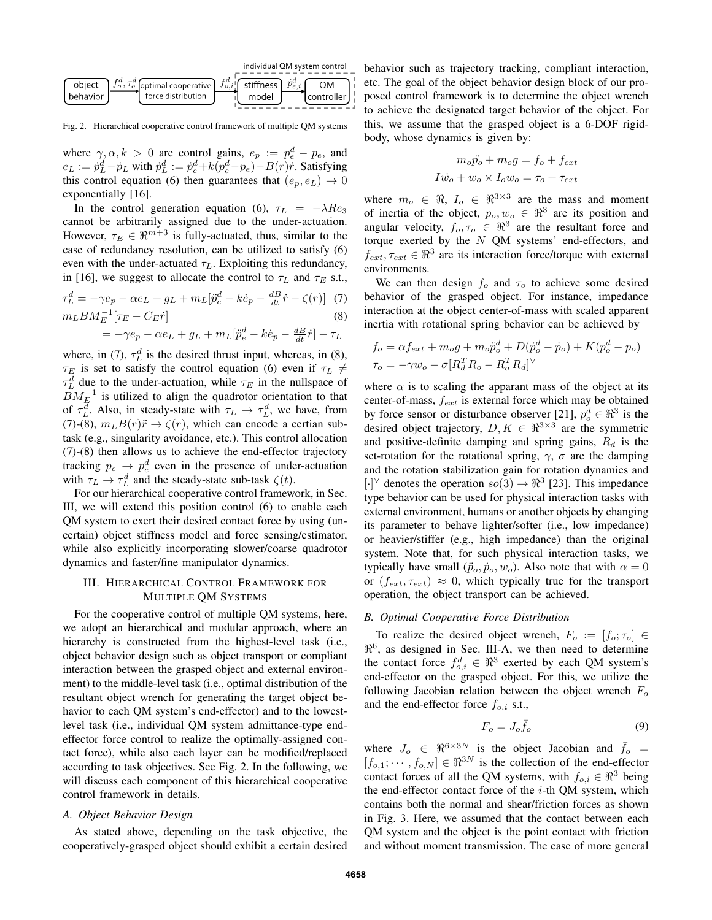

Fig. 2. Hierarchical cooperative control framework of multiple QM systems

where  $\gamma, \alpha, k > 0$  are control gains,  $e_p := p_e^d - p_e$ , and  $e_L := \dot{p}_L^d - \dot{p}_L$  with  $\dot{p}_L^d := \dot{p}_e^d + k(p_e^d - p_e) - B(r)\dot{r}$ . Satisfying this control equation (6) then guarantees that  $(e_n, e_L) \rightarrow 0$ exponentially [16].

In the control generation equation (6),  $\tau_L = -\lambda Re_3$ cannot be arbitrarily assigned due to the under-actuation. However,  $\tau_E \in \mathbb{R}^{m+3}$  is fully-actuated, thus, similar to the case of redundancy resolution, can be utilized to satisfy (6) even with the under-actuated  $\tau_L$ . Exploiting this redundancy, in [16], we suggest to allocate the control to  $\tau_L$  and  $\tau_E$  s.t.,  $\tau_L^d = -\gamma e_p - \alpha e_L + g_L + m_L[\ddot{p}_e^d - k\dot{e}_p - \frac{dB}{dt}\dot{r} - \zeta(r)]$  (7)

$$
m_L B M_E^{-1} [\tau_E - C_E \dot{r}] \tag{8}
$$

$$
= -\gamma e_p - \alpha e_L + g_L + m_L[\ddot{p}_e^d - k\dot{e}_p - \frac{dB}{dt}\dot{r}] - \tau_L
$$

where, in (7),  $\tau_L^d$  is the desired thrust input, whereas, in (8),  $\tau_E$  is set to satisfy the control equation (6) even if  $\tau_L \neq$  $\tau_L^d$  due to the under-actuation, while  $\tau_E$  in the nullspace of  $\widetilde{BM}^{-1}_{E}$  is utilized to align the quadrotor orientation to that of  $\tau_L^d$ . Also, in steady-state with  $\tau_L \to \tau_L^d$ , we have, from (7)-(8),  $m_L B(r) \ddot{r} \rightarrow \zeta(r)$ , which can encode a certian subtask (e.g., singularity avoidance, etc.). This control allocation (7)-(8) then allows us to achieve the end-effector trajectory tracking  $p_e \rightarrow p_e^d$  even in the presence of under-actuation with  $\tau_L \to \tau_L^d$  and the steady-state sub-task  $\zeta(t)$ .

For our hierarchical cooperative control framework, in Sec. III, we will extend this position control (6) to enable each QM system to exert their desired contact force by using (uncertain) object stiffness model and force sensing/estimator, while also explicitly incorporating slower/coarse quadrotor dynamics and faster/fine manipulator dynamics.

# III. HIERARCHICAL CONTROL FRAMEWORK FOR MULTIPLE QM SYSTEMS

For the cooperative control of multiple QM systems, here, we adopt an hierarchical and modular approach, where an hierarchy is constructed from the highest-level task (i.e., object behavior design such as object transport or compliant interaction between the grasped object and external environment) to the middle-level task (i.e., optimal distribution of the resultant object wrench for generating the target object behavior to each QM system's end-effector) and to the lowestlevel task (i.e., individual QM system admittance-type endeffector force control to realize the optimally-assigned contact force), while also each layer can be modified/replaced according to task objectives. See Fig. 2. In the following, we will discuss each component of this hierarchical cooperative control framework in details.

### *A. Object Behavior Design*

As stated above, depending on the task objective, the cooperatively-grasped object should exhibit a certain desired behavior such as trajectory tracking, compliant interaction, etc. The goal of the object behavior design block of our proposed control framework is to determine the object wrench to achieve the designated target behavior of the object. For this, we assume that the grasped object is a 6-DOF rigidbody, whose dynamics is given by:

$$
m_o \ddot{p_o} + m_o g = f_o + f_{ext}
$$

$$
I \dot{w_o} + w_o \times I_o w_o = \tau_o + \tau_{ext}
$$

where  $m_o \in \Re$ ,  $I_o \in \Re^{3 \times 3}$  are the mass and moment of inertia of the object,  $p_o, w_o \in \mathbb{R}^3$  are its position and angular velocity,  $f_o, \tau_o \in \Re^3$  are the resultant force and torque exerted by the  $N$  QM systems' end-effectors, and  $f_{ext}$ ,  $\tau_{ext} \in \mathbb{R}^3$  are its interaction force/torque with external environments.

We can then design  $f_0$  and  $\tau_0$  to achieve some desired behavior of the grasped object. For instance, impedance interaction at the object center-of-mass with scaled apparent inertia with rotational spring behavior can be achieved by

$$
f_o = \alpha f_{ext} + m_o g + m_o \ddot{p}_o^d + D(\dot{p}_o^d - \dot{p}_o) + K(p_o^d - p_o)
$$
  

$$
\tau_o = -\gamma w_o - \sigma [R_d^T R_o - R_o^T R_d]^{\vee}
$$

where  $\alpha$  is to scaling the apparant mass of the object at its center-of-mass,  $f_{ext}$  is external force which may be obtained by force sensor or disturbance observer [21],  $p_o^d \in \mathbb{R}^3$  is the desired object trajectory,  $D, K \in \mathbb{R}^{3 \times 3}$  are the symmetric and positive-definite damping and spring gains,  $R_d$  is the set-rotation for the rotational spring,  $\gamma$ ,  $\sigma$  are the damping and the rotation stabilization gain for rotation dynamics and [·]<sup>∨</sup> denotes the operation  $so(3) \rightarrow \Re^3$  [23]. This impedance type behavior can be used for physical interaction tasks with external environment, humans or another objects by changing its parameter to behave lighter/softer (i.e., low impedance) or heavier/stiffer (e.g., high impedance) than the original system. Note that, for such physical interaction tasks, we typically have small  $(\ddot{p}_o, \dot{p}_o, w_o)$ . Also note that with  $\alpha = 0$ or  $(f_{ext}, \tau_{ext}) \approx 0$ , which typically true for the transport operation, the object transport can be achieved.

#### *B. Optimal Cooperative Force Distribution*

To realize the desired object wrench,  $F_o := [f_o; \tau_o] \in$  $\mathbb{R}^6$ , as designed in Sec. III-A, we then need to determine the contact force  $f_{o,i}^d \in \Re^3$  exerted by each QM system's end-effector on the grasped object. For this, we utilize the following Jacobian relation between the object wrench  $F<sub>o</sub>$ and the end-effector force  $f_{o,i}$  s.t.,

$$
F_o = J_o \bar{f}_o \tag{9}
$$

where  $J_0 \in \Re^{6 \times 3N}$  is the object Jacobian and  $\bar{f}_0$  =  $[f_{o,1}; \cdots, f_{o,N}] \in \Re^{3N}$  is the collection of the end-effector contact forces of all the QM systems, with  $f_{o,i} \in \mathbb{R}^3$  being the end-effector contact force of the  $i$ -th QM system, which contains both the normal and shear/friction forces as shown in Fig. 3. Here, we assumed that the contact between each QM system and the object is the point contact with friction and without moment transmission. The case of more general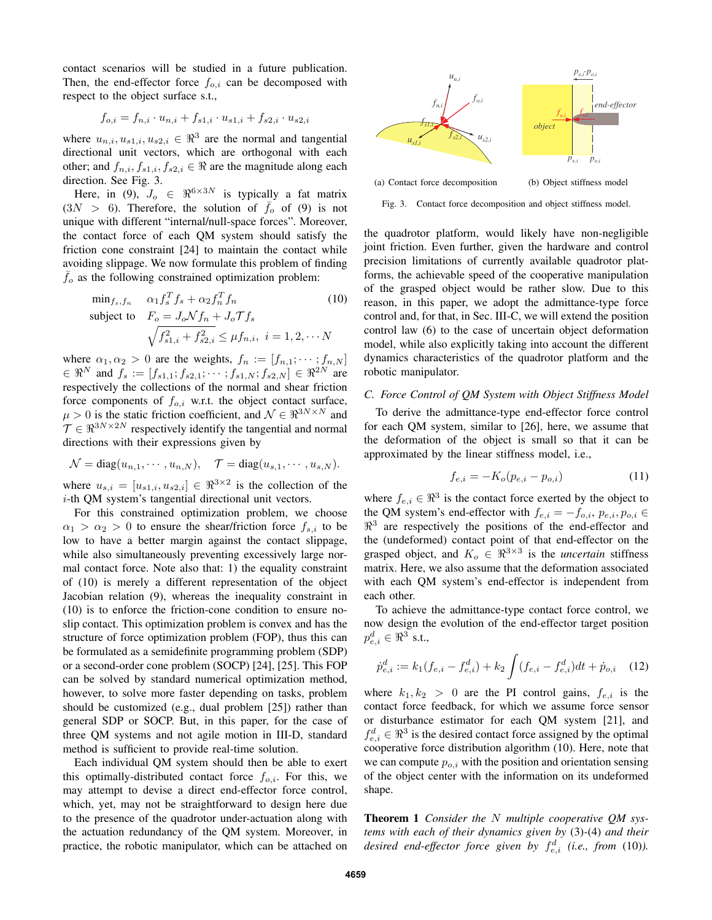contact scenarios will be studied in a future publication. Then, the end-effector force  $f_{o,i}$  can be decomposed with respect to the object surface s.t.,

$$
f_{o,i} = f_{n,i} \cdot u_{n,i} + f_{s1,i} \cdot u_{s1,i} + f_{s2,i} \cdot u_{s2,i}
$$

where  $u_{n,i}, u_{s1,i}, u_{s2,i} \in \mathbb{R}^3$  are the normal and tangential directional unit vectors, which are orthogonal with each other; and  $f_{n,i}, f_{s1,i}, f_{s2,i} \in \Re$  are the magnitude along each direction. See Fig. 3.

Here, in (9),  $J_0 \in \Re^{6 \times 3N}$  is typically a fat matrix  $(3N > 6)$ . Therefore, the solution of  $\bar{f}_o$  of (9) is not unique with different "internal/null-space forces". Moreover, the contact force of each QM system should satisfy the friction cone constraint [24] to maintain the contact while avoiding slippage. We now formulate this problem of finding  $f<sub>o</sub>$  as the following constrained optimization problem:

$$
\min_{f_s, f_n} \quad \alpha_1 f_s^T f_s + \alpha_2 f_n^T f_n \tag{10}
$$
\n
$$
\text{subject to} \quad F_o = J_o \mathcal{N} f_n + J_o \mathcal{T} f_s
$$
\n
$$
\sqrt{f_{s1,i}^2 + f_{s2,i}^2} \le \mu f_{n,i}, \ i = 1, 2, \cdots N
$$

where  $\alpha_1, \alpha_2 > 0$  are the weights,  $f_n := [f_{n,1}; \dots; f_{n,N}]$  $\in \Re^N$  and  $f_s := [f_{s1,1}; f_{s2,1}; \cdots; f_{s1,N}; f_{s2,N}] \in \Re^{2N}$  are respectively the collections of the normal and shear friction force components of  $f_{o,i}$  w.r.t. the object contact surface,  $\mu > 0$  is the static friction coefficient, and  $\mathcal{N} \in \mathbb{R}^{3N \times N}$  and  $\mathcal{T} \in \mathbb{R}^{3N \times 2N}$  respectively identify the tangential and normal directions with their expressions given by

$$
\mathcal{N}=\mathrm{diag}(u_{n,1},\cdots,u_{n,N}),\quad \mathcal{T}=\mathrm{diag}(u_{s,1},\cdots,u_{s,N}).
$$

where  $u_{s,i} = [u_{s1,i}, u_{s2,i}] \in \Re^{3 \times 2}$  is the collection of the i-th QM system's tangential directional unit vectors.

For this constrained optimization problem, we choose  $\alpha_1 > \alpha_2 > 0$  to ensure the shear/friction force  $f_{s,i}$  to be low to have a better margin against the contact slippage, while also simultaneously preventing excessively large normal contact force. Note also that: 1) the equality constraint of (10) is merely a different representation of the object Jacobian relation (9), whereas the inequality constraint in (10) is to enforce the friction-cone condition to ensure noslip contact. This optimization problem is convex and has the structure of force optimization problem (FOP), thus this can be formulated as a semidefinite programming problem (SDP) or a second-order cone problem (SOCP) [24], [25]. This FOP can be solved by standard numerical optimization method, however, to solve more faster depending on tasks, problem should be customized (e.g., dual problem [25]) rather than general SDP or SOCP. But, in this paper, for the case of three QM systems and not agile motion in III-D, standard method is sufficient to provide real-time solution.

Each individual QM system should then be able to exert this optimally-distributed contact force  $f_{o,i}$ . For this, we may attempt to devise a direct end-effector force control, which, yet, may not be straightforward to design here due to the presence of the quadrotor under-actuation along with the actuation redundancy of the QM system. Moreover, in practice, the robotic manipulator, which can be attached on



Fig. 3. Contact force decomposition and object stiffness model.

the quadrotor platform, would likely have non-negligible joint friction. Even further, given the hardware and control precision limitations of currently available quadrotor platforms, the achievable speed of the cooperative manipulation of the grasped object would be rather slow. Due to this reason, in this paper, we adopt the admittance-type force control and, for that, in Sec. III-C, we will extend the position control law (6) to the case of uncertain object deformation model, while also explicitly taking into account the different dynamics characteristics of the quadrotor platform and the robotic manipulator.

## *C. Force Control of QM System with Object Stiffness Model*

To derive the admittance-type end-effector force control for each QM system, similar to [26], here, we assume that the deformation of the object is small so that it can be approximated by the linear stiffness model, i.e.,

$$
f_{e,i} = -K_o(p_{e,i} - p_{o,i})
$$
 (11)

where  $f_{e,i} \in \mathbb{R}^3$  is the contact force exerted by the object to the QM system's end-effector with  $f_{e,i} = -f_{o,i}, p_{e,i}, p_{o,i} \in$  $\mathbb{R}^3$  are respectively the positions of the end-effector and the (undeformed) contact point of that end-effector on the grasped object, and  $K_o \in \Re^{3 \times 3}$  is the *uncertain* stiffness matrix. Here, we also assume that the deformation associated with each QM system's end-effector is independent from each other.

To achieve the admittance-type contact force control, we now design the evolution of the end-effector target position  $p_{e,i}^d \in \Re^3$  s.t.,

$$
\dot{p}_{e,i}^d := k_1(f_{e,i} - f_{e,i}^d) + k_2 \int (f_{e,i} - f_{e,i}^d) dt + \dot{p}_{o,i} \quad (12)
$$

where  $k_1, k_2 > 0$  are the PI control gains,  $f_{e,i}$  is the contact force feedback, for which we assume force sensor or disturbance estimator for each QM system [21], and  $f_{e,i}^d \in \Re^3$  is the desired contact force assigned by the optimal cooperative force distribution algorithm (10). Here, note that we can compute  $p_{o,i}$  with the position and orientation sensing of the object center with the information on its undeformed shape.

Theorem 1 *Consider the* N *multiple cooperative QM systems with each of their dynamics given by* (3)*-*(4) *and their* desired end-effector force given by  $f_{e,i}^d$  (i.e., from (10)).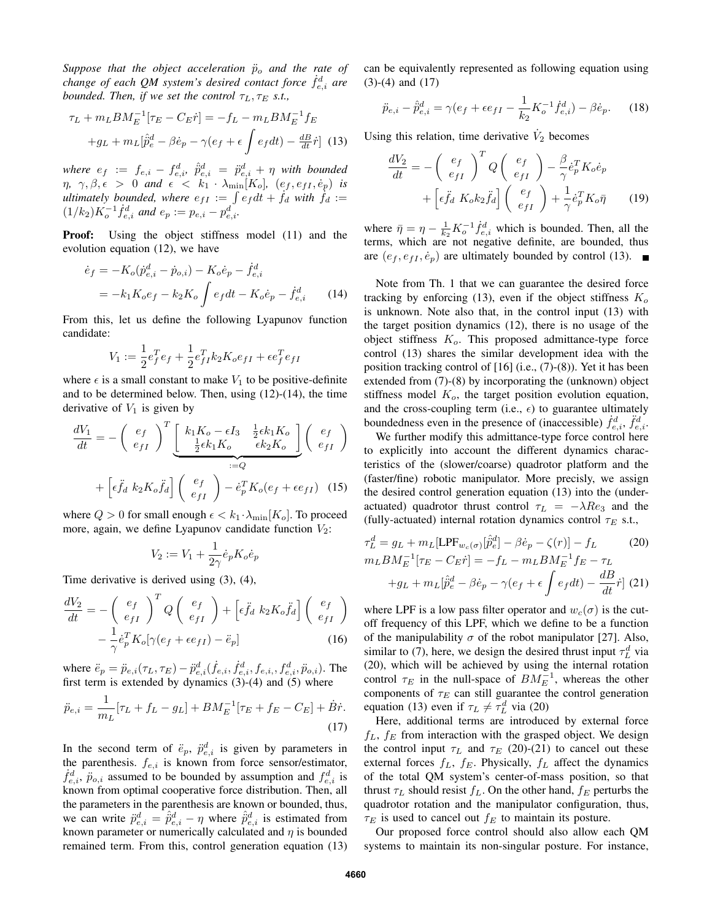*Suppose that the object acceleration*  $\ddot{p}_o$  *and the rate of* change of each QM system's desired contact force  $\dot{f}_{e,i}^d$  are *bounded. Then, if we set the control*  $\tau_L, \tau_E$  *s.t.,* 

$$
\tau_L + m_L B M_E^{-1} [\tau_E - C_E \dot{r}] = -f_L - m_L B M_E^{-1} f_E
$$

$$
+ g_L + m_L [\hat{p}_e^d - \beta \dot{e}_p - \gamma (e_f + \epsilon \int e_f dt) - \frac{dB}{dt} \dot{r}] \tag{13}
$$

where  $e_f$  :=  $f_{e,i}$  –  $f_{e,i}^d$ ,  $\hat{\vec{p}}_{e,i}^d$  =  $\ddot{p}_{e,i}^d$  +  $\eta$  with bounded  $\eta$ ,  $\gamma$ ,  $\beta$ ,  $\epsilon > 0$  *and*  $\epsilon < k_1 \cdot \lambda_{\min}[K_o]$ ,  $(e_f, e_{fI}, \dot{e}_p)$  *is ultimately bounded, where*  $e_{fI} := \int e_f dt + f_d$  *with*  $f_d :=$  $(1/k_2)K_o^{-1}\dot{f}_{e,i}^d$  and  $e_p := p_{e,i} - p_{e,i}^d$ .

Proof: Using the object stiffness model (11) and the evolution equation (12), we have

$$
\dot{e}_f = -K_o(\dot{p}_{e,i}^d - \dot{p}_{o,i}) - K_o \dot{e}_p - \dot{f}_{e,i}^d
$$
  
=  $-k_1 K_o e_f - k_2 K_o \int e_f dt - K_o \dot{e}_p - \dot{f}_{e,i}^d$  (14)

From this, let us define the following Lyapunov function candidate:

$$
V_1 := \frac{1}{2}e_f^T e_f + \frac{1}{2}e_{fI}^T k_2 K_o e_{fI} + \epsilon e_f^T e_{fI}
$$

where  $\epsilon$  is a small constant to make  $V_1$  to be positive-definite and to be determined below. Then, using (12)-(14), the time derivative of  $V_1$  is given by

$$
\frac{dV_1}{dt} = -\left(\begin{array}{c} e_f \\ e_{fI} \end{array}\right)^T \underbrace{\left[\begin{array}{cc} k_1 K_o - \epsilon I_3 & \frac{1}{2} \epsilon k_1 K_o \\ \frac{1}{2} \epsilon k_1 K_o & \epsilon k_2 K_o \end{array}\right]}_{:=Q} \left(\begin{array}{c} e_f \\ e_{fI} \end{array}\right)
$$
\n
$$
+ \left[\epsilon \ddot{f}_d \ k_2 K_o \ddot{f}_d\right] \left(\begin{array}{c} e_f \\ e_{fI} \end{array}\right) - \dot{e}_p^T K_o(e_f + \epsilon e_{fI}) \quad (15)
$$

where  $Q > 0$  for small enough  $\epsilon < k_1 \cdot \lambda_{\min}[K_o]$ . To proceed more, again, we define Lyapunov candidate function  $V_2$ :

$$
V_2 := V_1 + \frac{1}{2\gamma} \dot{e}_p K_o \dot{e}_p
$$

Time derivative is derived using (3), (4),

$$
\frac{dV_2}{dt} = -\left(\begin{array}{c} e_f \\ e_{fI} \end{array}\right)^T Q \left(\begin{array}{c} e_f \\ e_{fI} \end{array}\right) + \left[\epsilon \ddot{f}_d \ k_2 K_o \ddot{f}_d\right] \left(\begin{array}{c} e_f \\ e_{fI} \end{array}\right) \n- \frac{1}{\gamma} \dot{e}_p^T K_o [\gamma (e_f + \epsilon e_{fI}) - \ddot{e}_p]
$$
\n(16)

where  $\ddot{e}_p = \ddot{p}_{e,i}(\tau_L, \tau_E) - \ddot{p}_{e,i}^d(\dot{f}_{e,i}, \dot{f}_{e,i}^d, f_{e,i}, f_{e,i}^d, \ddot{p}_{o,i})$ . The first term is extended by dynamics  $(3)$ - $(4)$  and  $(5)$  where

$$
\ddot{p}_{e,i} = \frac{1}{m_L} [\tau_L + f_L - g_L] + BM_E^{-1} [\tau_E + f_E - C_E] + \dot{B} \dot{r}.
$$
\n(17)

In the second term of  $\ddot{e}_p$ ,  $\ddot{p}^d_{e,i}$  is given by parameters in the parenthesis.  $f_{e,i}$  is known from force sensor/estimator,  $\dot{f}_{e,i}^d$ ,  $\ddot{p}_{o,i}$  assumed to be bounded by assumption and  $f_{e,i}^d$  is known from optimal cooperative force distribution. Then, all the parameters in the parenthesis are known or bounded, thus, we can write  $\ddot{p}_{e,i}^d = \hat{p}_{e,i}^d - \eta$  where  $\hat{p}_{e,i}^d$  is estimated from known parameter or numerically calculated and  $\eta$  is bounded remained term. From this, control generation equation (13) can be equivalently represented as following equation using (3)-(4) and (17)

$$
\ddot{p}_{e,i} - \hat{p}_{e,i}^d = \gamma (e_f + \epsilon e_{fI} - \frac{1}{k_2} K_o^{-1} \dot{f}_{e,i}^d) - \beta \dot{e}_p. \tag{18}
$$

Using this relation, time derivative  $\dot{V}_2$  becomes

$$
\frac{dV_2}{dt} = -\left(\begin{array}{c} e_f \\ e_{fI} \end{array}\right)^T Q \left(\begin{array}{c} e_f \\ e_{fI} \end{array}\right) - \frac{\beta}{\gamma} \dot{e}_p^T K_o \dot{e}_p \n+ \left[\epsilon \ddot{f}_d K_o k_2 \ddot{f}_d\right] \left(\begin{array}{c} e_f \\ e_{fI} \end{array}\right) + \frac{1}{\gamma} \dot{e}_p^T K_o \bar{\eta}
$$
\n(19)

where  $\bar{\eta} = \eta - \frac{1}{k_2} K_o^{-1} \dot{f}_{e,i}^d$  which is bounded. Then, all the terms, which are not negative definite, are bounded, thus are  $(e_f, e_f, \dot{e}_p)$  are ultimately bounded by control (13).

Note from Th. 1 that we can guarantee the desired force tracking by enforcing (13), even if the object stiffness  $K<sub>o</sub>$ is unknown. Note also that, in the control input (13) with the target position dynamics (12), there is no usage of the object stiffness  $K<sub>o</sub>$ . This proposed admittance-type force control (13) shares the similar development idea with the position tracking control of  $[16]$  (i.e.,  $(7)-(8)$ ). Yet it has been extended from (7)-(8) by incorporating the (unknown) object stiffness model  $K<sub>o</sub>$ , the target position evolution equation, and the cross-coupling term (i.e.,  $\epsilon$ ) to guarantee ultimately boundedness even in the presence of (inaccessible)  $\dot{f}_{e,i}^d$ ,  $\ddot{f}_{e,i}^d$ .

We further modify this admittance-type force control here to explicitly into account the different dynamics characteristics of the (slower/coarse) quadrotor platform and the (faster/fine) robotic manipulator. More precisly, we assign the desired control generation equation (13) into the (underactuated) quadrotor thrust control  $\tau_L = -\lambda Re_3$  and the (fully-actuated) internal rotation dynamics control  $\tau_E$  s.t.,

$$
\tau_L^d = g_L + m_L[\text{LPF}_{w_c(\sigma)}[\hat{p}_e^d] - \beta \dot{e}_p - \zeta(r)] - f_L \qquad (20)
$$
  
\n
$$
m_L B M_E^{-1} [\tau_E - C_E \dot{r}] = -f_L - m_L B M_E^{-1} f_E - \tau_L
$$
  
\n
$$
+ g_L + m_L[\hat{p}_e^d - \beta \dot{e}_p - \gamma (e_f + \epsilon \int e_f dt) - \frac{dB}{dt} \dot{r}] \tag{21}
$$

where LPF is a low pass filter operator and  $w_c(\sigma)$  is the cutoff frequency of this LPF, which we define to be a function of the manipulability  $\sigma$  of the robot manipulator [27]. Also, similar to (7), here, we design the desired thrust input  $\tau_L^d$  via (20), which will be achieved by using the internal rotation control  $\tau_E$  in the null-space of  $BM_E^{-1}$ , whereas the other components of  $\tau_E$  can still guarantee the control generation equation (13) even if  $\tau_L \neq \tau_L^d$  via (20)

Here, additional terms are introduced by external force  $f_L$ ,  $f_E$  from interaction with the grasped object. We design the control input  $\tau_L$  and  $\tau_F$  (20)-(21) to cancel out these external forces  $f_L$ ,  $f_E$ . Physically,  $f_L$  affect the dynamics of the total QM system's center-of-mass position, so that thrust  $\tau_L$  should resist  $f_L$ . On the other hand,  $f_E$  perturbs the quadrotor rotation and the manipulator configuration, thus,  $\tau_E$  is used to cancel out  $f_E$  to maintain its posture.

Our proposed force control should also allow each QM systems to maintain its non-singular posture. For instance,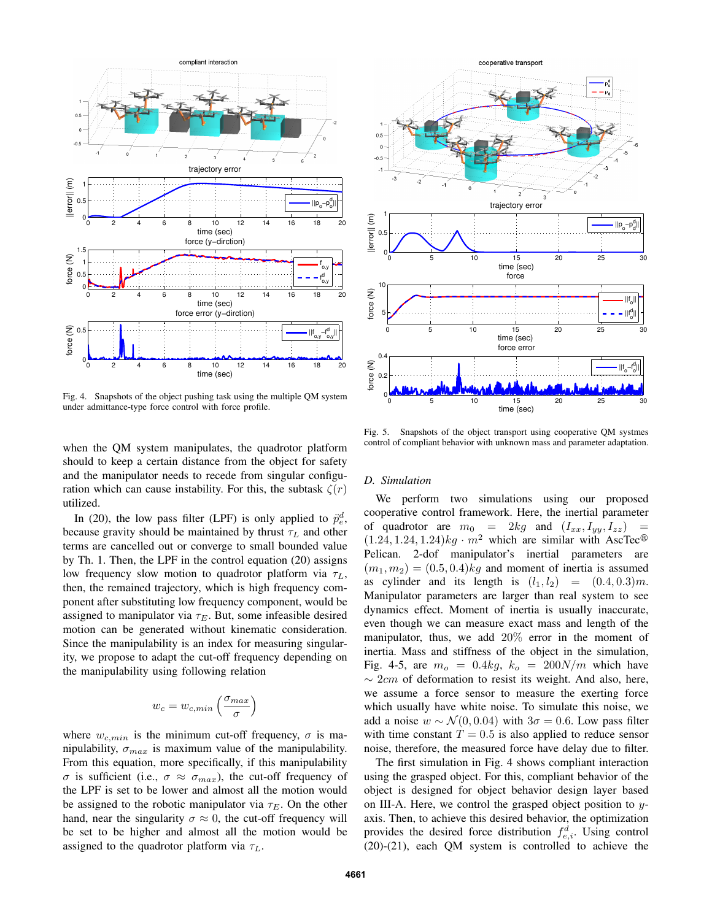

Fig. 4. Snapshots of the object pushing task using the multiple QM system under admittance-type force control with force profile.

when the QM system manipulates, the quadrotor platform should to keep a certain distance from the object for safety and the manipulator needs to recede from singular configuration which can cause instability. For this, the subtask  $\zeta(r)$ utilized.

In (20), the low pass filter (LPF) is only applied to  $\ddot{p}_e^d$ , because gravity should be maintained by thrust  $\tau_L$  and other terms are cancelled out or converge to small bounded value by Th. 1. Then, the LPF in the control equation (20) assigns low frequency slow motion to quadrotor platform via  $\tau_L$ , then, the remained trajectory, which is high frequency component after substituting low frequency component, would be assigned to manipulator via  $\tau_E$ . But, some infeasible desired motion can be generated without kinematic consideration. Since the manipulability is an index for measuring singularity, we propose to adapt the cut-off frequency depending on the manipulability using following relation

$$
w_c = w_{c,min} \left(\frac{\sigma_{max}}{\sigma}\right)
$$

where  $w_{c,min}$  is the minimum cut-off frequency,  $\sigma$  is manipulability,  $\sigma_{max}$  is maximum value of the manipulability. From this equation, more specifically, if this manipulability σ is sufficient (i.e.,  $\sigma \approx \sigma_{max}$ ), the cut-off frequency of the LPF is set to be lower and almost all the motion would be assigned to the robotic manipulator via  $\tau_E$ . On the other hand, near the singularity  $\sigma \approx 0$ , the cut-off frequency will be set to be higher and almost all the motion would be assigned to the quadrotor platform via  $\tau_L$ .



Fig. 5. Snapshots of the object transport using cooperative QM systmes control of compliant behavior with unknown mass and parameter adaptation.

#### *D. Simulation*

We perform two simulations using our proposed cooperative control framework. Here, the inertial parameter of quadrotor are  $m_0 = 2kg$  and  $(I_{xx}, I_{yy}, I_{zz})$  $(1.24, 1.24, 1.24)$ kg ·  $m^2$  which are similar with AscTec<sup>®</sup> Pelican. 2-dof manipulator's inertial parameters are  $(m_1, m_2) = (0.5, 0.4)$ kg and moment of inertia is assumed as cylinder and its length is  $(l_1, l_2) = (0.4, 0.3)m$ . Manipulator parameters are larger than real system to see dynamics effect. Moment of inertia is usually inaccurate, even though we can measure exact mass and length of the manipulator, thus, we add 20% error in the moment of inertia. Mass and stiffness of the object in the simulation, Fig. 4-5, are  $m<sub>o</sub> = 0.4kg$ ,  $k<sub>o</sub> = 200N/m$  which have  $\sim$  2cm of deformation to resist its weight. And also, here, we assume a force sensor to measure the exerting force which usually have white noise. To simulate this noise, we add a noise  $w \sim \mathcal{N}(0, 0.04)$  with  $3\sigma = 0.6$ . Low pass filter with time constant  $T = 0.5$  is also applied to reduce sensor noise, therefore, the measured force have delay due to filter.

The first simulation in Fig. 4 shows compliant interaction using the grasped object. For this, compliant behavior of the object is designed for object behavior design layer based on III-A. Here, we control the grasped object position to yaxis. Then, to achieve this desired behavior, the optimization provides the desired force distribution  $f_{e,i}^d$ . Using control (20)-(21), each QM system is controlled to achieve the